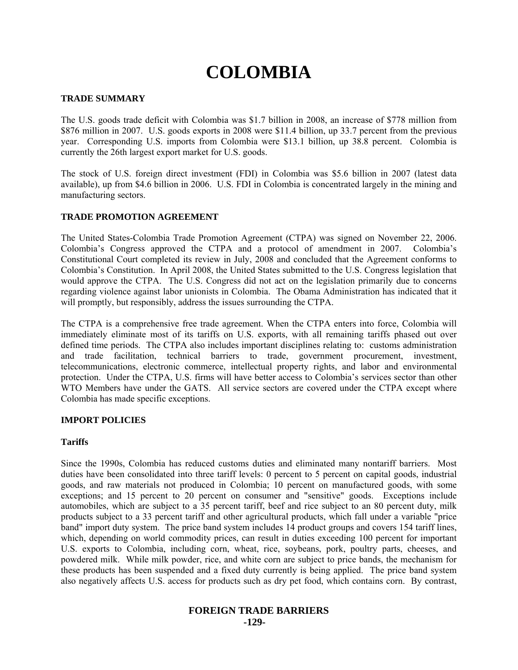# **COLOMBIA**

# **TRADE SUMMARY**

The U.S. goods trade deficit with Colombia was \$1.7 billion in 2008, an increase of \$778 million from \$876 million in 2007. U.S. goods exports in 2008 were \$11.4 billion, up 33.7 percent from the previous year. Corresponding U.S. imports from Colombia were \$13.1 billion, up 38.8 percent. Colombia is currently the 26th largest export market for U.S. goods.

The stock of U.S. foreign direct investment (FDI) in Colombia was \$5.6 billion in 2007 (latest data available), up from \$4.6 billion in 2006. U.S. FDI in Colombia is concentrated largely in the mining and manufacturing sectors.

# **TRADE PROMOTION AGREEMENT**

The United States-Colombia Trade Promotion Agreement (CTPA) was signed on November 22, 2006. Colombia's Congress approved the CTPA and a protocol of amendment in 2007. Colombia's Constitutional Court completed its review in July, 2008 and concluded that the Agreement conforms to Colombia's Constitution. In April 2008, the United States submitted to the U.S. Congress legislation that would approve the CTPA. The U.S. Congress did not act on the legislation primarily due to concerns regarding violence against labor unionists in Colombia. The Obama Administration has indicated that it will promptly, but responsibly, address the issues surrounding the CTPA.

The CTPA is a comprehensive free trade agreement. When the CTPA enters into force, Colombia will immediately eliminate most of its tariffs on U.S. exports, with all remaining tariffs phased out over defined time periods. The CTPA also includes important disciplines relating to: customs administration and trade facilitation, technical barriers to trade, government procurement, investment, telecommunications, electronic commerce, intellectual property rights, and labor and environmental protection. Under the CTPA, U.S. firms will have better access to Colombia's services sector than other WTO Members have under the GATS. All service sectors are covered under the CTPA except where Colombia has made specific exceptions.

# **IMPORT POLICIES**

# **Tariffs**

Since the 1990s, Colombia has reduced customs duties and eliminated many nontariff barriers. Most duties have been consolidated into three tariff levels: 0 percent to 5 percent on capital goods, industrial goods, and raw materials not produced in Colombia; 10 percent on manufactured goods, with some exceptions; and 15 percent to 20 percent on consumer and "sensitive" goods. Exceptions include automobiles, which are subject to a 35 percent tariff, beef and rice subject to an 80 percent duty, milk products subject to a 33 percent tariff and other agricultural products, which fall under a variable "price band" import duty system. The price band system includes 14 product groups and covers 154 tariff lines, which, depending on world commodity prices, can result in duties exceeding 100 percent for important U.S. exports to Colombia, including corn, wheat, rice, soybeans, pork, poultry parts, cheeses, and powdered milk. While milk powder, rice, and white corn are subject to price bands, the mechanism for these products has been suspended and a fixed duty currently is being applied. The price band system also negatively affects U.S. access for products such as dry pet food, which contains corn. By contrast,

# **FOREIGN TRADE BARRIERS**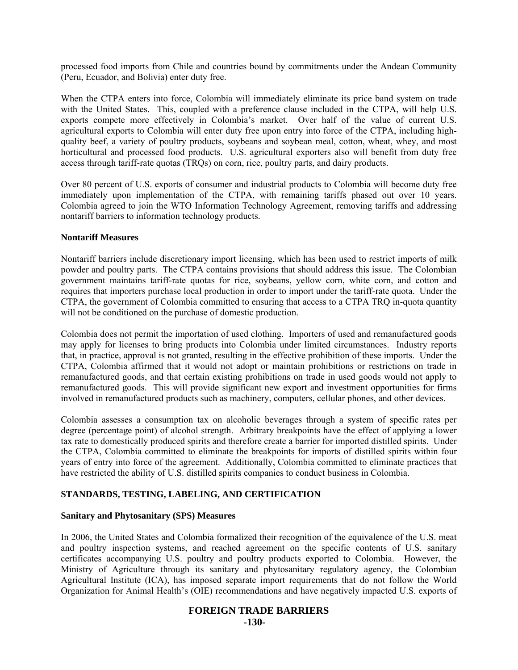processed food imports from Chile and countries bound by commitments under the Andean Community (Peru, Ecuador, and Bolivia) enter duty free.

When the CTPA enters into force, Colombia will immediately eliminate its price band system on trade with the United States. This, coupled with a preference clause included in the CTPA, will help U.S. exports compete more effectively in Colombia's market. Over half of the value of current U.S. agricultural exports to Colombia will enter duty free upon entry into force of the CTPA, including highquality beef, a variety of poultry products, soybeans and soybean meal, cotton, wheat, whey, and most horticultural and processed food products. U.S. agricultural exporters also will benefit from duty free access through tariff-rate quotas (TRQs) on corn, rice, poultry parts, and dairy products.

Over 80 percent of U.S. exports of consumer and industrial products to Colombia will become duty free immediately upon implementation of the CTPA, with remaining tariffs phased out over 10 years. Colombia agreed to join the WTO Information Technology Agreement, removing tariffs and addressing nontariff barriers to information technology products.

#### **Nontariff Measures**

Nontariff barriers include discretionary import licensing, which has been used to restrict imports of milk powder and poultry parts. The CTPA contains provisions that should address this issue. The Colombian government maintains tariff-rate quotas for rice, soybeans, yellow corn, white corn, and cotton and requires that importers purchase local production in order to import under the tariff-rate quota. Under the CTPA, the government of Colombia committed to ensuring that access to a CTPA TRQ in-quota quantity will not be conditioned on the purchase of domestic production.

Colombia does not permit the importation of used clothing. Importers of used and remanufactured goods may apply for licenses to bring products into Colombia under limited circumstances. Industry reports that, in practice, approval is not granted, resulting in the effective prohibition of these imports. Under the CTPA, Colombia affirmed that it would not adopt or maintain prohibitions or restrictions on trade in remanufactured goods, and that certain existing prohibitions on trade in used goods would not apply to remanufactured goods. This will provide significant new export and investment opportunities for firms involved in remanufactured products such as machinery, computers, cellular phones, and other devices.

Colombia assesses a consumption tax on alcoholic beverages through a system of specific rates per degree (percentage point) of alcohol strength. Arbitrary breakpoints have the effect of applying a lower tax rate to domestically produced spirits and therefore create a barrier for imported distilled spirits. Under the CTPA, Colombia committed to eliminate the breakpoints for imports of distilled spirits within four years of entry into force of the agreement. Additionally, Colombia committed to eliminate practices that have restricted the ability of U.S. distilled spirits companies to conduct business in Colombia.

# **STANDARDS, TESTING, LABELING, AND CERTIFICATION**

# **Sanitary and Phytosanitary (SPS) Measures**

In 2006, the United States and Colombia formalized their recognition of the equivalence of the U.S. meat and poultry inspection systems, and reached agreement on the specific contents of U.S. sanitary certificates accompanying U.S. poultry and poultry products exported to Colombia. However, the Ministry of Agriculture through its sanitary and phytosanitary regulatory agency, the Colombian Agricultural Institute (ICA), has imposed separate import requirements that do not follow the World Organization for Animal Health's (OIE) recommendations and have negatively impacted U.S. exports of

# **FOREIGN TRADE BARRIERS -130-**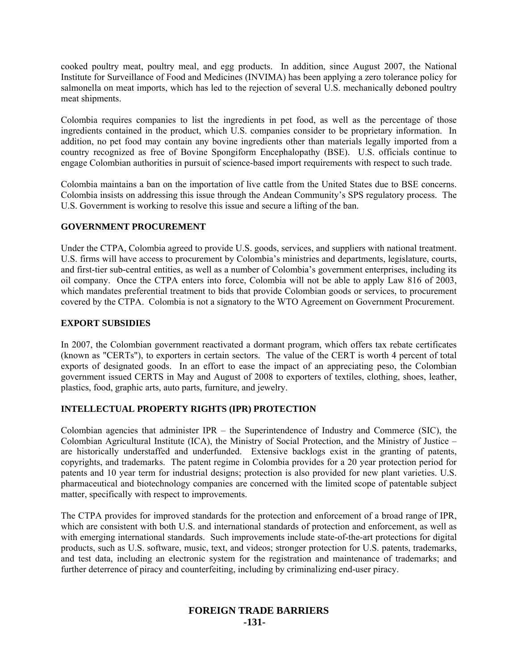cooked poultry meat, poultry meal, and egg products. In addition, since August 2007, the National Institute for Surveillance of Food and Medicines (INVIMA) has been applying a zero tolerance policy for salmonella on meat imports, which has led to the rejection of several U.S. mechanically deboned poultry meat shipments.

Colombia requires companies to list the ingredients in pet food, as well as the percentage of those ingredients contained in the product, which U.S. companies consider to be proprietary information. In addition, no pet food may contain any bovine ingredients other than materials legally imported from a country recognized as free of Bovine Spongiform Encephalopathy (BSE). U.S. officials continue to engage Colombian authorities in pursuit of science-based import requirements with respect to such trade.

Colombia maintains a ban on the importation of live cattle from the United States due to BSE concerns. Colombia insists on addressing this issue through the Andean Community's SPS regulatory process. The U.S. Government is working to resolve this issue and secure a lifting of the ban.

#### **GOVERNMENT PROCUREMENT**

Under the CTPA, Colombia agreed to provide U.S. goods, services, and suppliers with national treatment. U.S. firms will have access to procurement by Colombia's ministries and departments, legislature, courts, and first-tier sub-central entities, as well as a number of Colombia's government enterprises, including its oil company. Once the CTPA enters into force, Colombia will not be able to apply Law 816 of 2003, which mandates preferential treatment to bids that provide Colombian goods or services, to procurement covered by the CTPA. Colombia is not a signatory to the WTO Agreement on Government Procurement.

# **EXPORT SUBSIDIES**

In 2007, the Colombian government reactivated a dormant program, which offers tax rebate certificates (known as "CERTs"), to exporters in certain sectors. The value of the CERT is worth 4 percent of total exports of designated goods. In an effort to ease the impact of an appreciating peso, the Colombian government issued CERTS in May and August of 2008 to exporters of textiles, clothing, shoes, leather, plastics, food, graphic arts, auto parts, furniture, and jewelry.

# **INTELLECTUAL PROPERTY RIGHTS (IPR) PROTECTION**

Colombian agencies that administer IPR – the Superintendence of Industry and Commerce (SIC), the Colombian Agricultural Institute (ICA), the Ministry of Social Protection, and the Ministry of Justice – are historically understaffed and underfunded. Extensive backlogs exist in the granting of patents, copyrights, and trademarks. The patent regime in Colombia provides for a 20 year protection period for patents and 10 year term for industrial designs; protection is also provided for new plant varieties. U.S. pharmaceutical and biotechnology companies are concerned with the limited scope of patentable subject matter, specifically with respect to improvements.

The CTPA provides for improved standards for the protection and enforcement of a broad range of IPR, which are consistent with both U.S. and international standards of protection and enforcement, as well as with emerging international standards. Such improvements include state-of-the-art protections for digital products, such as U.S. software, music, text, and videos; stronger protection for U.S. patents, trademarks, and test data, including an electronic system for the registration and maintenance of trademarks; and further deterrence of piracy and counterfeiting, including by criminalizing end-user piracy.

# **FOREIGN TRADE BARRIERS -131-**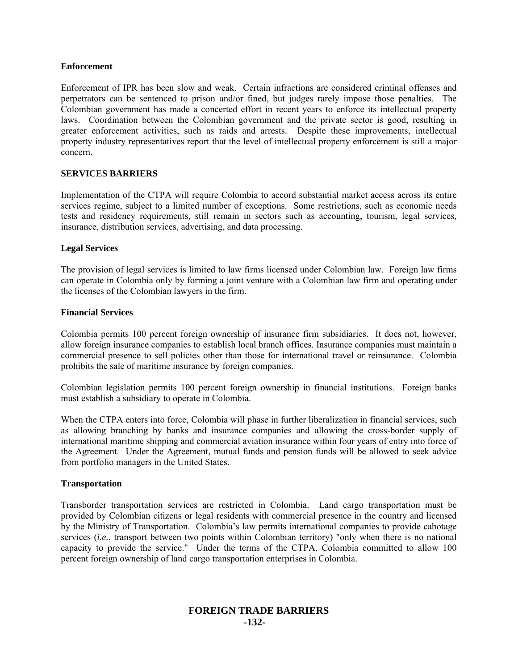#### **Enforcement**

Enforcement of IPR has been slow and weak. Certain infractions are considered criminal offenses and perpetrators can be sentenced to prison and/or fined, but judges rarely impose those penalties. The Colombian government has made a concerted effort in recent years to enforce its intellectual property laws. Coordination between the Colombian government and the private sector is good, resulting in greater enforcement activities, such as raids and arrests. Despite these improvements, intellectual property industry representatives report that the level of intellectual property enforcement is still a major concern.

#### **SERVICES BARRIERS**

Implementation of the CTPA will require Colombia to accord substantial market access across its entire services regime, subject to a limited number of exceptions. Some restrictions, such as economic needs tests and residency requirements, still remain in sectors such as accounting, tourism, legal services, insurance, distribution services, advertising, and data processing.

#### **Legal Services**

The provision of legal services is limited to law firms licensed under Colombian law. Foreign law firms can operate in Colombia only by forming a joint venture with a Colombian law firm and operating under the licenses of the Colombian lawyers in the firm.

#### **Financial Services**

Colombia permits 100 percent foreign ownership of insurance firm subsidiaries. It does not, however, allow foreign insurance companies to establish local branch offices. Insurance companies must maintain a commercial presence to sell policies other than those for international travel or reinsurance. Colombia prohibits the sale of maritime insurance by foreign companies.

Colombian legislation permits 100 percent foreign ownership in financial institutions. Foreign banks must establish a subsidiary to operate in Colombia.

When the CTPA enters into force, Colombia will phase in further liberalization in financial services, such as allowing branching by banks and insurance companies and allowing the cross-border supply of international maritime shipping and commercial aviation insurance within four years of entry into force of the Agreement. Under the Agreement, mutual funds and pension funds will be allowed to seek advice from portfolio managers in the United States.

#### **Transportation**

Transborder transportation services are restricted in Colombia. Land cargo transportation must be provided by Colombian citizens or legal residents with commercial presence in the country and licensed by the Ministry of Transportation. Colombia's law permits international companies to provide cabotage services (*i.e.*, transport between two points within Colombian territory) "only when there is no national capacity to provide the service." Under the terms of the CTPA, Colombia committed to allow 100 percent foreign ownership of land cargo transportation enterprises in Colombia.

# **FOREIGN TRADE BARRIERS -132-**